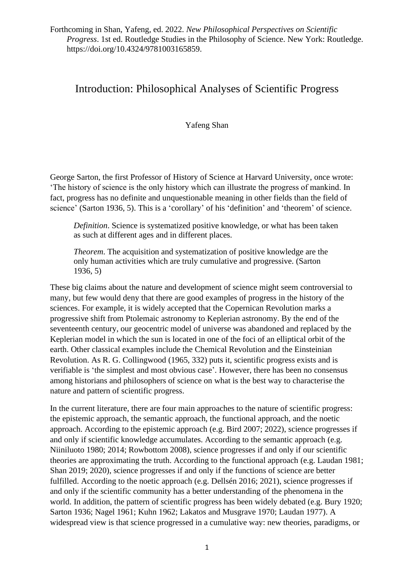# Introduction: Philosophical Analyses of Scientific Progress

Yafeng Shan

George Sarton, the first Professor of History of Science at Harvard University, once wrote: 'The history of science is the only history which can illustrate the progress of mankind. In fact, progress has no definite and unquestionable meaning in other fields than the field of science' (Sarton 1936, 5). This is a 'corollary' of his 'definition' and 'theorem' of science.

*Definition*. Science is systematized positive knowledge, or what has been taken as such at different ages and in different places.

*Theorem*. The acquisition and systematization of positive knowledge are the only human activities which are truly cumulative and progressive. (Sarton 1936, 5)

These big claims about the nature and development of science might seem controversial to many, but few would deny that there are good examples of progress in the history of the sciences. For example, it is widely accepted that the Copernican Revolution marks a progressive shift from Ptolemaic astronomy to Keplerian astronomy. By the end of the seventeenth century, our geocentric model of universe was abandoned and replaced by the Keplerian model in which the sun is located in one of the foci of an elliptical orbit of the earth. Other classical examples include the Chemical Revolution and the Einsteinian Revolution. As R. G. Collingwood (1965, 332) puts it, scientific progress exists and is verifiable is 'the simplest and most obvious case'. However, there has been no consensus among historians and philosophers of science on what is the best way to characterise the nature and pattern of scientific progress.

In the current literature, there are four main approaches to the nature of scientific progress: the epistemic approach, the semantic approach, the functional approach, and the noetic approach. According to the epistemic approach (e.g. Bird 2007; 2022), science progresses if and only if scientific knowledge accumulates. According to the semantic approach (e.g. Niiniluoto 1980; 2014; Rowbottom 2008), science progresses if and only if our scientific theories are approximating the truth. According to the functional approach (e.g. Laudan 1981; Shan 2019; 2020), science progresses if and only if the functions of science are better fulfilled. According to the noetic approach (e.g. Dellsén 2016; 2021), science progresses if and only if the scientific community has a better understanding of the phenomena in the world. In addition, the pattern of scientific progress has been widely debated (e.g. Bury 1920; Sarton 1936; Nagel 1961; Kuhn 1962; Lakatos and Musgrave 1970; Laudan 1977). A widespread view is that science progressed in a cumulative way: new theories, paradigms, or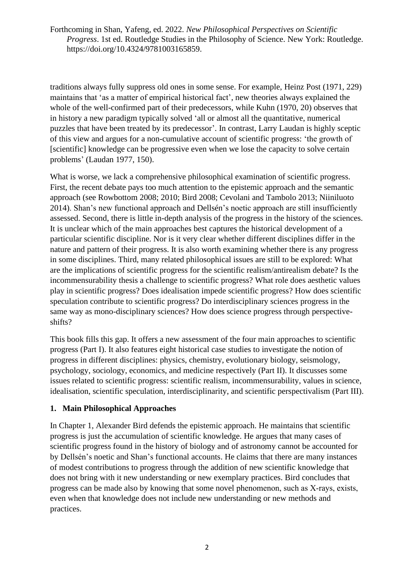traditions always fully suppress old ones in some sense. For example, Heinz Post (1971, 229) maintains that 'as a matter of empirical historical fact', new theories always explained the whole of the well-confirmed part of their predecessors, while Kuhn (1970, 20) observes that in history a new paradigm typically solved 'all or almost all the quantitative, numerical puzzles that have been treated by its predecessor'. In contrast, Larry Laudan is highly sceptic of this view and argues for a non-cumulative account of scientific progress: 'the growth of [scientific] knowledge can be progressive even when we lose the capacity to solve certain problems' (Laudan 1977, 150).

What is worse, we lack a comprehensive philosophical examination of scientific progress. First, the recent debate pays too much attention to the epistemic approach and the semantic approach (see Rowbottom 2008; 2010; Bird 2008; Cevolani and Tambolo 2013; Niiniluoto 2014). Shan's new functional approach and Dellsén's noetic approach are still insufficiently assessed. Second, there is little in-depth analysis of the progress in the history of the sciences. It is unclear which of the main approaches best captures the historical development of a particular scientific discipline. Nor is it very clear whether different disciplines differ in the nature and pattern of their progress. It is also worth examining whether there is any progress in some disciplines. Third, many related philosophical issues are still to be explored: What are the implications of scientific progress for the scientific realism/antirealism debate? Is the incommensurability thesis a challenge to scientific progress? What role does aesthetic values play in scientific progress? Does idealisation impede scientific progress? How does scientific speculation contribute to scientific progress? Do interdisciplinary sciences progress in the same way as mono-disciplinary sciences? How does science progress through perspectiveshifts?

This book fills this gap. It offers a new assessment of the four main approaches to scientific progress (Part I). It also features eight historical case studies to investigate the notion of progress in different disciplines: physics, chemistry, evolutionary biology, seismology, psychology, sociology, economics, and medicine respectively (Part II). It discusses some issues related to scientific progress: scientific realism, incommensurability, values in science, idealisation, scientific speculation, interdisciplinarity, and scientific perspectivalism (Part III).

## **1. Main Philosophical Approaches**

In Chapter 1, Alexander Bird defends the epistemic approach. He maintains that scientific progress is just the accumulation of scientific knowledge. He argues that many cases of scientific progress found in the history of biology and of astronomy cannot be accounted for by Dellsén's noetic and Shan's functional accounts. He claims that there are many instances of modest contributions to progress through the addition of new scientific knowledge that does not bring with it new understanding or new exemplary practices. Bird concludes that progress can be made also by knowing that some novel phenomenon, such as X‐rays, exists, even when that knowledge does not include new understanding or new methods and practices.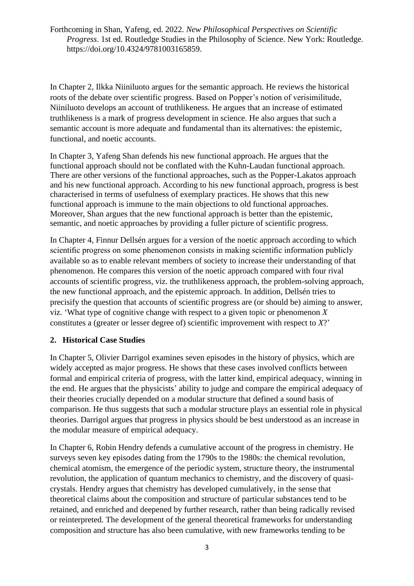In Chapter 2, Ilkka Niiniluoto argues for the semantic approach. He reviews the historical roots of the debate over scientific progress. Based on Popper's notion of verisimilitude, Niiniluoto develops an account of truthlikeness. He argues that an increase of estimated truthlikeness is a mark of progress development in science. He also argues that such a semantic account is more adequate and fundamental than its alternatives: the epistemic, functional, and noetic accounts.

In Chapter 3, Yafeng Shan defends his new functional approach. He argues that the functional approach should not be conflated with the Kuhn-Laudan functional approach. There are other versions of the functional approaches, such as the Popper-Lakatos approach and his new functional approach. According to his new functional approach, progress is best characterised in terms of usefulness of exemplary practices. He shows that this new functional approach is immune to the main objections to old functional approaches. Moreover, Shan argues that the new functional approach is better than the epistemic, semantic, and noetic approaches by providing a fuller picture of scientific progress.

In Chapter 4, Finnur Dellsén argues for a version of the noetic approach according to which scientific progress on some phenomenon consists in making scientific information publicly available so as to enable relevant members of society to increase their understanding of that phenomenon. He compares this version of the noetic approach compared with four rival accounts of scientific progress, viz. the truthlikeness approach, the problem-solving approach, the new functional approach, and the epistemic approach. In addition, Dellsén tries to precisify the question that accounts of scientific progress are (or should be) aiming to answer, viz. 'What type of cognitive change with respect to a given topic or phenomenon *X* constitutes a (greater or lesser degree of) scientific improvement with respect to *X*?'

#### **2. Historical Case Studies**

In Chapter 5, Olivier Darrigol examines seven episodes in the history of physics, which are widely accepted as major progress. He shows that these cases involved conflicts between formal and empirical criteria of progress, with the latter kind, empirical adequacy, winning in the end. He argues that the physicists' ability to judge and compare the empirical adequacy of their theories crucially depended on a modular structure that defined a sound basis of comparison. He thus suggests that such a modular structure plays an essential role in physical theories. Darrigol argues that progress in physics should be best understood as an increase in the modular measure of empirical adequacy.

In Chapter 6, Robin Hendry defends a cumulative account of the progress in chemistry. He surveys seven key episodes dating from the 1790s to the 1980s: the chemical revolution, chemical atomism, the emergence of the periodic system, structure theory, the instrumental revolution, the application of quantum mechanics to chemistry, and the discovery of quasicrystals. Hendry argues that chemistry has developed cumulatively, in the sense that theoretical claims about the composition and structure of particular substances tend to be retained, and enriched and deepened by further research, rather than being radically revised or reinterpreted. The development of the general theoretical frameworks for understanding composition and structure has also been cumulative, with new frameworks tending to be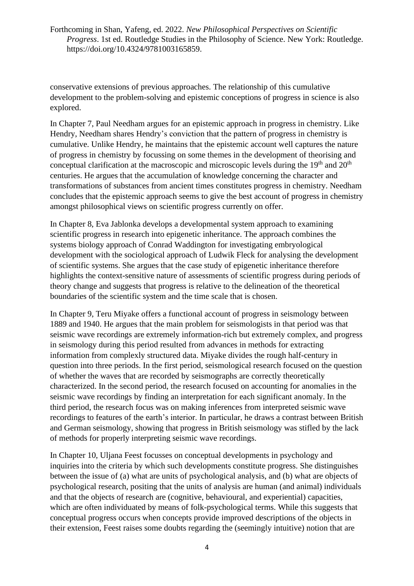conservative extensions of previous approaches. The relationship of this cumulative development to the problem-solving and epistemic conceptions of progress in science is also explored.

In Chapter 7, Paul Needham argues for an epistemic approach in progress in chemistry. Like Hendry, Needham shares Hendry's conviction that the pattern of progress in chemistry is cumulative. Unlike Hendry, he maintains that the epistemic account well captures the nature of progress in chemistry by focussing on some themes in the development of theorising and conceptual clarification at the macroscopic and microscopic levels during the  $19<sup>th</sup>$  and  $20<sup>th</sup>$ centuries. He argues that the accumulation of knowledge concerning the character and transformations of substances from ancient times constitutes progress in chemistry. Needham concludes that the epistemic approach seems to give the best account of progress in chemistry amongst philosophical views on scientific progress currently on offer.

In Chapter 8, Eva Jablonka develops a developmental system approach to examining scientific progress in research into epigenetic inheritance. The approach combines the systems biology approach of Conrad Waddington for investigating embryological development with the sociological approach of Ludwik Fleck for analysing the development of scientific systems. She argues that the case study of epigenetic inheritance therefore highlights the context-sensitive nature of assessments of scientific progress during periods of theory change and suggests that progress is relative to the delineation of the theoretical boundaries of the scientific system and the time scale that is chosen.

In Chapter 9, Teru Miyake offers a functional account of progress in seismology between 1889 and 1940. He argues that the main problem for seismologists in that period was that seismic wave recordings are extremely information-rich but extremely complex, and progress in seismology during this period resulted from advances in methods for extracting information from complexly structured data. Miyake divides the rough half-century in question into three periods. In the first period, seismological research focused on the question of whether the waves that are recorded by seismographs are correctly theoretically characterized. In the second period, the research focused on accounting for anomalies in the seismic wave recordings by finding an interpretation for each significant anomaly. In the third period, the research focus was on making inferences from interpreted seismic wave recordings to features of the earth's interior. In particular, he draws a contrast between British and German seismology, showing that progress in British seismology was stifled by the lack of methods for properly interpreting seismic wave recordings.

In Chapter 10, Uljana Feest focusses on conceptual developments in psychology and inquiries into the criteria by which such developments constitute progress. She distinguishes between the issue of (a) what are units of psychological analysis, and (b) what are objects of psychological research, positing that the units of analysis are human (and animal) individuals and that the objects of research are (cognitive, behavioural, and experiential) capacities, which are often individuated by means of folk-psychological terms. While this suggests that conceptual progress occurs when concepts provide improved descriptions of the objects in their extension, Feest raises some doubts regarding the (seemingly intuitive) notion that are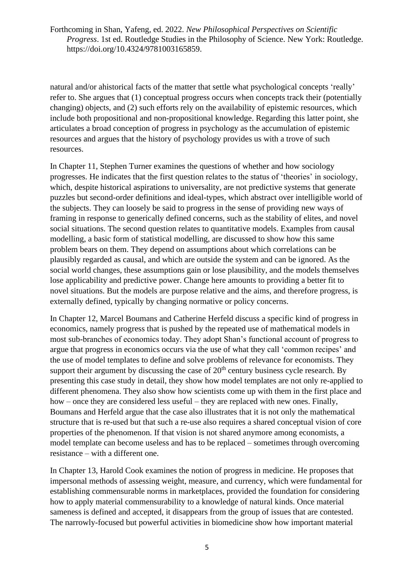natural and/or ahistorical facts of the matter that settle what psychological concepts 'really' refer to. She argues that (1) conceptual progress occurs when concepts track their (potentially changing) objects, and (2) such efforts rely on the availability of epistemic resources, which include both propositional and non-propositional knowledge. Regarding this latter point, she articulates a broad conception of progress in psychology as the accumulation of epistemic resources and argues that the history of psychology provides us with a trove of such resources.

In Chapter 11, Stephen Turner examines the questions of whether and how sociology progresses. He indicates that the first question relates to the status of 'theories' in sociology, which, despite historical aspirations to universality, are not predictive systems that generate puzzles but second-order definitions and ideal-types, which abstract over intelligible world of the subjects. They can loosely be said to progress in the sense of providing new ways of framing in response to generically defined concerns, such as the stability of elites, and novel social situations. The second question relates to quantitative models. Examples from causal modelling, a basic form of statistical modelling, are discussed to show how this same problem bears on them. They depend on assumptions about which correlations can be plausibly regarded as causal, and which are outside the system and can be ignored. As the social world changes, these assumptions gain or lose plausibility, and the models themselves lose applicability and predictive power. Change here amounts to providing a better fit to novel situations. But the models are purpose relative and the aims, and therefore progress, is externally defined, typically by changing normative or policy concerns.

In Chapter 12, Marcel Boumans and Catherine Herfeld discuss a specific kind of progress in economics, namely progress that is pushed by the repeated use of mathematical models in most sub-branches of economics today. They adopt Shan's functional account of progress to argue that progress in economics occurs via the use of what they call 'common recipes' and the use of model templates to define and solve problems of relevance for economists. They support their argument by discussing the case of  $20<sup>th</sup>$  century business cycle research. By presenting this case study in detail, they show how model templates are not only re-applied to different phenomena. They also show how scientists come up with them in the first place and how – once they are considered less useful – they are replaced with new ones. Finally, Boumans and Herfeld argue that the case also illustrates that it is not only the mathematical structure that is re-used but that such a re-use also requires a shared conceptual vision of core properties of the phenomenon. If that vision is not shared anymore among economists, a model template can become useless and has to be replaced – sometimes through overcoming resistance – with a different one.

In Chapter 13, Harold Cook examines the notion of progress in medicine. He proposes that impersonal methods of assessing weight, measure, and currency, which were fundamental for establishing commensurable norms in marketplaces, provided the foundation for considering how to apply material commensurability to a knowledge of natural kinds. Once material sameness is defined and accepted, it disappears from the group of issues that are contested. The narrowly-focused but powerful activities in biomedicine show how important material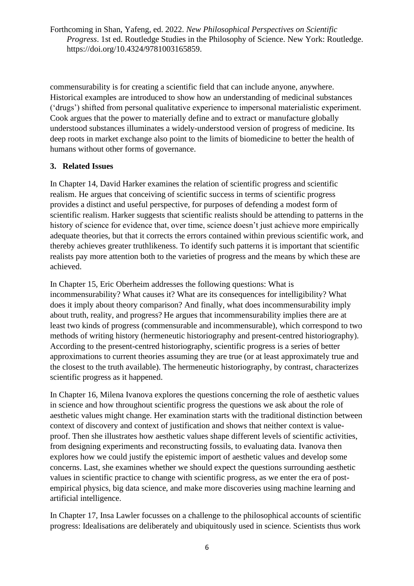commensurability is for creating a scientific field that can include anyone, anywhere. Historical examples are introduced to show how an understanding of medicinal substances ('drugs') shifted from personal qualitative experience to impersonal materialistic experiment. Cook argues that the power to materially define and to extract or manufacture globally understood substances illuminates a widely-understood version of progress of medicine. Its deep roots in market exchange also point to the limits of biomedicine to better the health of humans without other forms of governance.

### **3. Related Issues**

In Chapter 14, David Harker examines the relation of scientific progress and scientific realism. He argues that conceiving of scientific success in terms of scientific progress provides a distinct and useful perspective, for purposes of defending a modest form of scientific realism. Harker suggests that scientific realists should be attending to patterns in the history of science for evidence that, over time, science doesn't just achieve more empirically adequate theories, but that it corrects the errors contained within previous scientific work, and thereby achieves greater truthlikeness. To identify such patterns it is important that scientific realists pay more attention both to the varieties of progress and the means by which these are achieved.

In Chapter 15, Eric Oberheim addresses the following questions: What is incommensurability? What causes it? What are its consequences for intelligibility? What does it imply about theory comparison? And finally, what does incommensurability imply about truth, reality, and progress? He argues that incommensurability implies there are at least two kinds of progress (commensurable and incommensurable), which correspond to two methods of writing history (hermeneutic historiography and present-centred historiography). According to the present-centred historiography, scientific progress is a series of better approximations to current theories assuming they are true (or at least approximately true and the closest to the truth available). The hermeneutic historiography, by contrast, characterizes scientific progress as it happened.

In Chapter 16, Milena Ivanova explores the questions concerning the role of aesthetic values in science and how throughout scientific progress the questions we ask about the role of aesthetic values might change. Her examination starts with the traditional distinction between context of discovery and context of justification and shows that neither context is valueproof. Then she illustrates how aesthetic values shape different levels of scientific activities, from designing experiments and reconstructing fossils, to evaluating data. Ivanova then explores how we could justify the epistemic import of aesthetic values and develop some concerns. Last, she examines whether we should expect the questions surrounding aesthetic values in scientific practice to change with scientific progress, as we enter the era of postempirical physics, big data science, and make more discoveries using machine learning and artificial intelligence.

In Chapter 17, Insa Lawler focusses on a challenge to the philosophical accounts of scientific progress: Idealisations are deliberately and ubiquitously used in science. Scientists thus work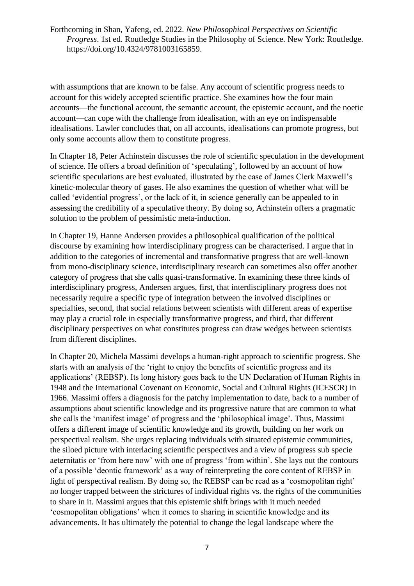with assumptions that are known to be false. Any account of scientific progress needs to account for this widely accepted scientific practice. She examines how the four main accounts—the functional account, the semantic account, the epistemic account, and the noetic account—can cope with the challenge from idealisation, with an eye on indispensable idealisations. Lawler concludes that, on all accounts, idealisations can promote progress, but only some accounts allow them to constitute progress.

In Chapter 18, Peter Achinstein discusses the role of scientific speculation in the development of science. He offers a broad definition of 'speculating', followed by an account of how scientific speculations are best evaluated, illustrated by the case of James Clerk Maxwell's kinetic-molecular theory of gases. He also examines the question of whether what will be called 'evidential progress', or the lack of it, in science generally can be appealed to in assessing the credibility of a speculative theory. By doing so, Achinstein offers a pragmatic solution to the problem of pessimistic meta-induction.

In Chapter 19, Hanne Andersen provides a philosophical qualification of the political discourse by examining how interdisciplinary progress can be characterised. I argue that in addition to the categories of incremental and transformative progress that are well-known from mono-disciplinary science, interdisciplinary research can sometimes also offer another category of progress that she calls quasi-transformative. In examining these three kinds of interdisciplinary progress, Andersen argues, first, that interdisciplinary progress does not necessarily require a specific type of integration between the involved disciplines or specialties, second, that social relations between scientists with different areas of expertise may play a crucial role in especially transformative progress, and third, that different disciplinary perspectives on what constitutes progress can draw wedges between scientists from different disciplines.

In Chapter 20, Michela Massimi develops a human-right approach to scientific progress. She starts with an analysis of the 'right to enjoy the benefits of scientific progress and its applications' (REBSP). Its long history goes back to the UN Declaration of Human Rights in 1948 and the International Covenant on Economic, Social and Cultural Rights (ICESCR) in 1966. Massimi offers a diagnosis for the patchy implementation to date, back to a number of assumptions about scientific knowledge and its progressive nature that are common to what she calls the 'manifest image' of progress and the 'philosophical image'. Thus, Massimi offers a different image of scientific knowledge and its growth, building on her work on perspectival realism. She urges replacing individuals with situated epistemic communities, the siloed picture with interlacing scientific perspectives and a view of progress sub specie aeternitatis or 'from here now' with one of progress 'from within'. She lays out the contours of a possible 'deontic framework' as a way of reinterpreting the core content of REBSP in light of perspectival realism. By doing so, the REBSP can be read as a 'cosmopolitan right' no longer trapped between the strictures of individual rights vs. the rights of the communities to share in it. Massimi argues that this epistemic shift brings with it much needed 'cosmopolitan obligations' when it comes to sharing in scientific knowledge and its advancements. It has ultimately the potential to change the legal landscape where the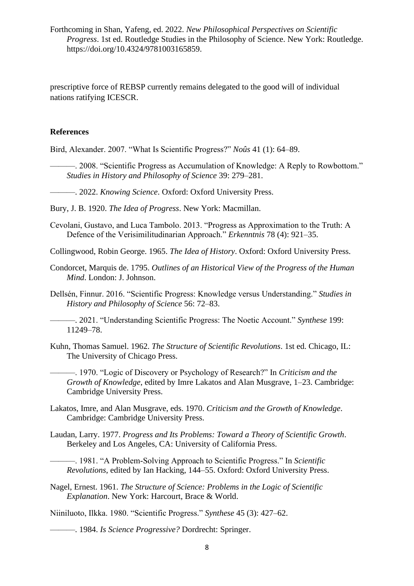prescriptive force of REBSP currently remains delegated to the good will of individual nations ratifying ICESCR.

#### **References**

Bird, Alexander. 2007. "What Is Scientific Progress?" *Noûs* 41 (1): 64–89.

———. 2008. "Scientific Progress as Accumulation of Knowledge: A Reply to Rowbottom." *Studies in History and Philosophy of Science* 39: 279–281.

———. 2022. *Knowing Science*. Oxford: Oxford University Press.

Bury, J. B. 1920. *The Idea of Progress*. New York: Macmillan.

Cevolani, Gustavo, and Luca Tambolo. 2013. "Progress as Approximation to the Truth: A Defence of the Verisimilitudinarian Approach." *Erkenntnis* 78 (4): 921–35.

Collingwood, Robin George. 1965. *The Idea of History*. Oxford: Oxford University Press.

- Condorcet, Marquis de. 1795. *Outlines of an Historical View of the Progress of the Human Mind*. London: J. Johnson.
- Dellsén, Finnur. 2016. "Scientific Progress: Knowledge versus Understanding." *Studies in History and Philosophy of Science* 56: 72–83.
- ———. 2021. "Understanding Scientific Progress: The Noetic Account." *Synthese* 199: 11249–78.
- Kuhn, Thomas Samuel. 1962. *The Structure of Scientific Revolutions*. 1st ed. Chicago, IL: The University of Chicago Press.

———. 1970. "Logic of Discovery or Psychology of Research?" In *Criticism and the Growth of Knowledge*, edited by Imre Lakatos and Alan Musgrave, 1–23. Cambridge: Cambridge University Press.

- Lakatos, Imre, and Alan Musgrave, eds. 1970. *Criticism and the Growth of Knowledge*. Cambridge: Cambridge University Press.
- Laudan, Larry. 1977. *Progress and Its Problems: Toward a Theory of Scientific Growth*. Berkeley and Los Angeles, CA: University of California Press.

———. 1981. "A Problem-Solving Approach to Scientific Progress." In *Scientific Revolutions*, edited by Ian Hacking, 144–55. Oxford: Oxford University Press.

Nagel, Ernest. 1961. *The Structure of Science: Problems in the Logic of Scientific Explanation*. New York: Harcourt, Brace & World.

Niiniluoto, Ilkka. 1980. "Scientific Progress." *Synthese* 45 (3): 427–62.

———. 1984. *Is Science Progressive?* Dordrecht: Springer.